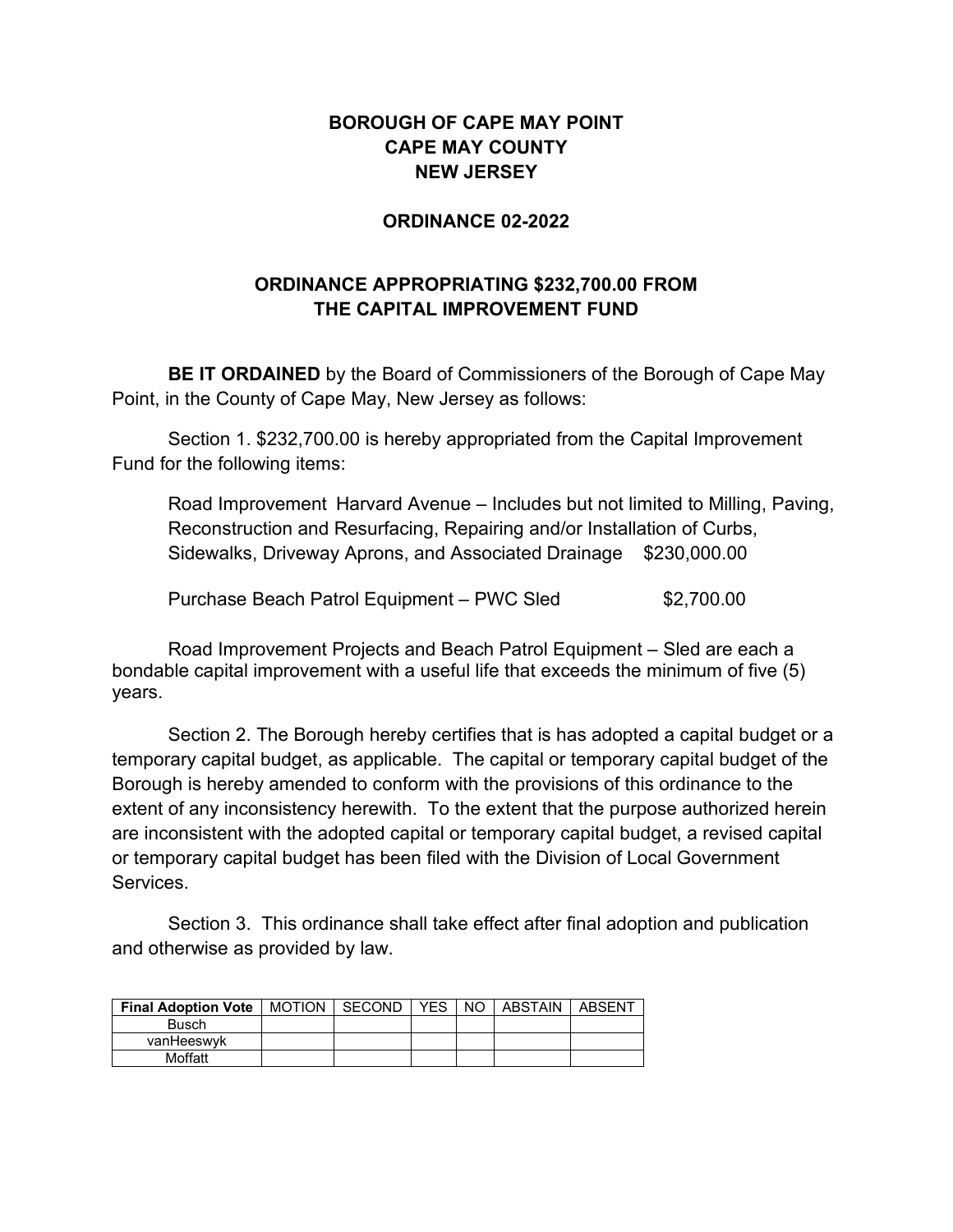## **BOROUGH OF CAPE MAY POINT CAPE MAY COUNTY NEW JERSEY**

## **ORDINANCE 02-2022**

## **ORDINANCE APPROPRIATING \$232,700.00 FROM THE CAPITAL IMPROVEMENT FUND**

**BE IT ORDAINED** by the Board of Commissioners of the Borough of Cape May Point, in the County of Cape May, New Jersey as follows:

Section 1. \$232,700.00 is hereby appropriated from the Capital Improvement Fund for the following items:

Road Improvement Harvard Avenue – Includes but not limited to Milling, Paving, Reconstruction and Resurfacing, Repairing and/or Installation of Curbs, Sidewalks, Driveway Aprons, and Associated Drainage \$230,000.00

Purchase Beach Patrol Equipment – PWC Sled \$2,700.00

Road Improvement Projects and Beach Patrol Equipment – Sled are each a bondable capital improvement with a useful life that exceeds the minimum of five (5) years.

Section 2. The Borough hereby certifies that is has adopted a capital budget or a temporary capital budget, as applicable. The capital or temporary capital budget of the Borough is hereby amended to conform with the provisions of this ordinance to the extent of any inconsistency herewith. To the extent that the purpose authorized herein are inconsistent with the adopted capital or temporary capital budget, a revised capital or temporary capital budget has been filed with the Division of Local Government **Services** 

Section 3. This ordinance shall take effect after final adoption and publication and otherwise as provided by law.

| <b>Final Adoption Vote</b> | MOTION I SECOND | YES. | I NO I | ABSTAIN | ABSFNT |
|----------------------------|-----------------|------|--------|---------|--------|
| Busch                      |                 |      |        |         |        |
| vanHeeswyk                 |                 |      |        |         |        |
| Moffatt                    |                 |      |        |         |        |